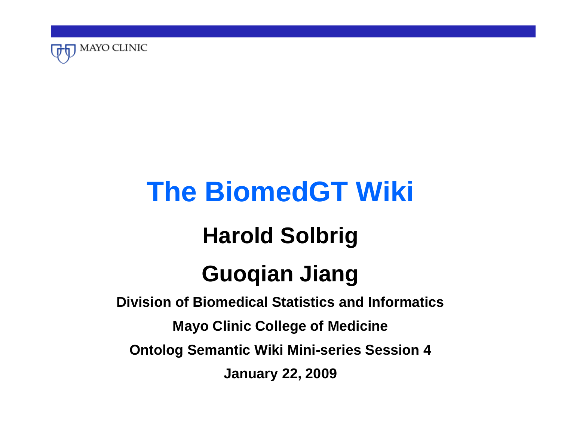

# **The BiomedGT Wiki Harold Solbrig Guoqian Jiang**

**Division of Biomedical Statistics and InformaticsMayo Clinic College of Medicine Ontolog Semantic Wiki Mini-series Session 4 January 22, 2009**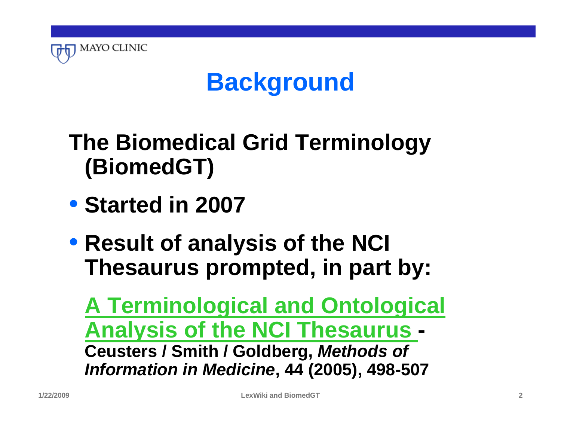

### **Background**

#### **The Biomedical Grid Terminology (BiomedGT)**

- **Started in 2007**
- **Result of analysis of the NCI Thesaurus prompted, in part by:**

**[A Terminological and Ontological](http://ontology.buffalo.edu/medo/NCIT.pdf)  [Analysis of the NCI Thesaurus](http://ontology.buffalo.edu/medo/NCIT.pdf) - Ceusters / Smith / Goldberg,** *Methods of Information in Medicine***, 44 (2005), 498-507**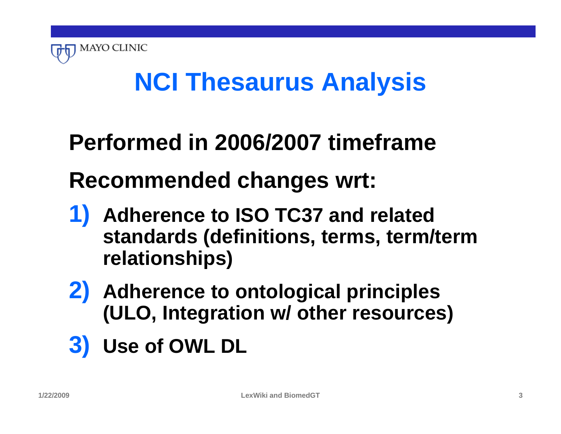

# **NCI Thesaurus Analysis**

#### **Performed in 2006/2007 timeframe**

#### **Recommended changes wrt:**

- **1) Adherence to ISO TC37 and related standards (definitions, terms, term/term relationships)**
- **2) Adherence to ontological principles (ULO, Integration w/ other resources)**
- **3) Use of OWL DL**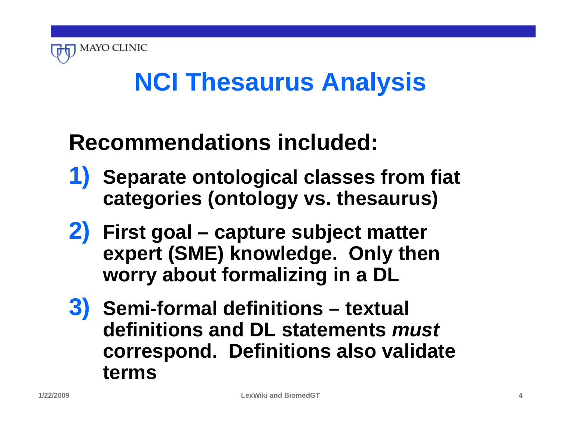

# **NCI Thesaurus Analysis**

#### **Recommendations included:**

- **1) Separate ontological classes from fiat categories (ontology vs. thesaurus)**
- **2) First goal capture subject matter expert (SME) knowledge. Only then worry about formalizing in a DL**
- **3) Semi-formal definitions textual definitions and DL statements** *must*  **correspond. Definitions also validate terms**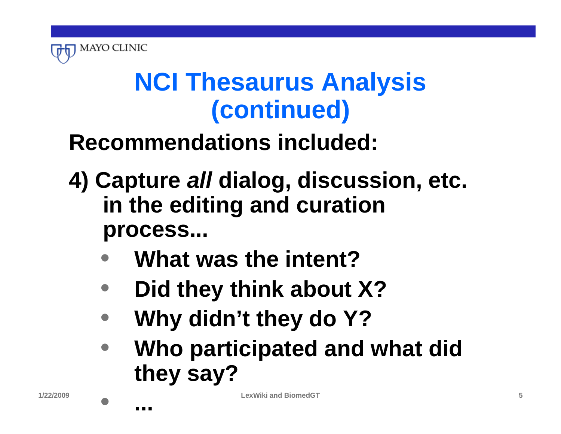

# **NCI Thesaurus Analysis (continued)**

#### **Recommendations included:**

- **4) Capture** *all* **dialog, discussion, etc. in the editing and curation process...**
	- **What was the intent?**
	- **Did they think about X?**
	- **Why didn't they do Y?**
	- **Who participated and what did they say?**

• **...**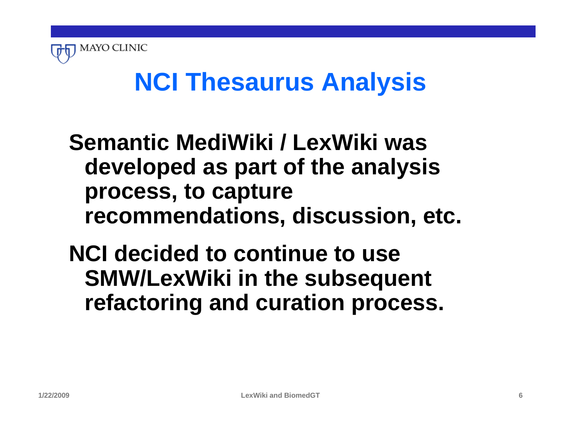

# **NCI Thesaurus Analysis**

#### **Semantic MediWiki / LexWiki was developed as part of the analysis process, to capture recommendations, discussion, etc.**

**NCI decided to continue to use SMW/LexWiki in the subsequent refactoring and curation process.**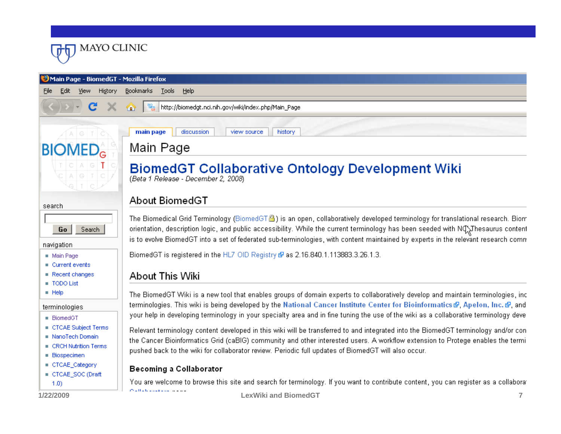

| Eile<br>Edit<br>View<br>History                                                   | Bookmarks<br><b>Tools</b><br>Help                                                                                                                                                                                                                                                                                                                                           |
|-----------------------------------------------------------------------------------|-----------------------------------------------------------------------------------------------------------------------------------------------------------------------------------------------------------------------------------------------------------------------------------------------------------------------------------------------------------------------------|
| $\mathbf{C}$                                                                      | $\frac{80}{100}$<br>http://biomedgt.nci.nih.gov/wiki/index.php/Main_Page<br>⋒                                                                                                                                                                                                                                                                                               |
| G                                                                                 | history<br>discussion<br>view source<br>main page                                                                                                                                                                                                                                                                                                                           |
| <b>BIOMED</b> <sub>G</sub>                                                        | Main Page                                                                                                                                                                                                                                                                                                                                                                   |
|                                                                                   | <b>BiomedGT Collaborative Ontology Development Wiki</b><br>(Beta 1 Release - December 2, 2008)                                                                                                                                                                                                                                                                              |
| search                                                                            | About BiomedGT                                                                                                                                                                                                                                                                                                                                                              |
| Search<br>Go                                                                      | The Biomedical Grid Terminology (BiomedGT $\triangleq$ ) is an open, collaboratively developed terminology for translational research. Biom<br>orientation, description logic, and public accessibility. While the current terminology has been seeded with NQ\Thesaurus content                                                                                            |
| navigation                                                                        | is to evolve BiomedGT into a set of federated sub-terminologies, with content maintained by experts in the relevant research comn                                                                                                                                                                                                                                           |
| Main Page                                                                         | BiomedGT is registered in the HL7 OID Registry & as 2.16.840.1.113883.3.26.1.3.                                                                                                                                                                                                                                                                                             |
| Current events<br>Recent changes<br>TODO List                                     | About This Wiki                                                                                                                                                                                                                                                                                                                                                             |
| $\blacksquare$ Help<br>terminologies                                              | The BiomedGT Wiki is a new tool that enables groups of domain experts to collaboratively develop and maintain terminologies, inc<br>terminologies. This wiki is being developed by the National Cancer Institute Center for Bioinformatics & Apelon, Inc. & and                                                                                                             |
| <b>BiomedGT</b>                                                                   | your help in developing terminology in your specialty area and in fine tuning the use of the wiki as a collaborative terminology deve                                                                                                                                                                                                                                       |
| CTCAE Subject Terms<br>NanoTech Domain<br>■ CRCH Nutrition Terms<br>■ Biospecimen | Relevant terminology content developed in this wiki will be transferred to and integrated into the BiomedGT terminology and/or con<br>the Cancer Bioinformatics Grid (caBIG) community and other interested users. A workflow extension to Protege enables the termi<br>pushed back to the wiki for collaborator review. Periodic full updates of BiomedGT will also occur. |
| ■ CTCAE_Category                                                                  | Becoming a Collaborator                                                                                                                                                                                                                                                                                                                                                     |
| CTCAE_SOC (Draft<br>(1.0)                                                         | You are welcome to browse this site and search for terminology. If you want to contribute content, you can register as a collaboral                                                                                                                                                                                                                                         |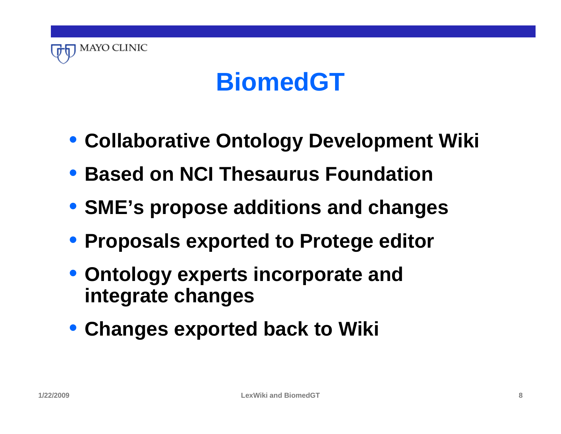

#### **BiomedGT**

- **Collaborative Ontology Development Wiki**
- **Based on NCI Thesaurus Foundation**
- **SME's propose additions and changes**
- **Proposals exported to Protege editor**
- **Ontology experts incorporate and integrate changes**
- **Changes exported back to Wiki**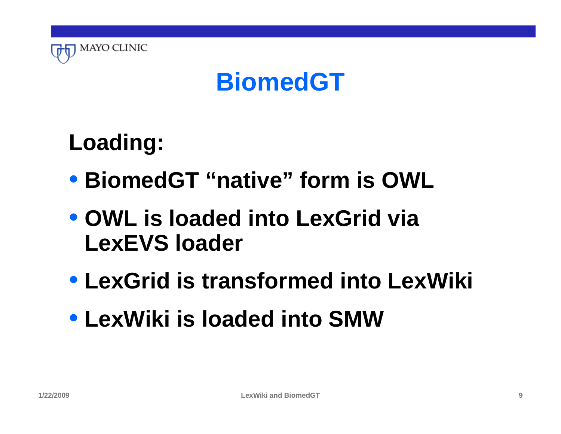

#### **BiomedGT**

**Loading:**

- **BiomedGT "native" form is OWL**
- **OWL is loaded into LexGrid via LexEVS loader**
- **LexGrid is transformed into LexWiki**
- **LexWiki is loaded into SMW**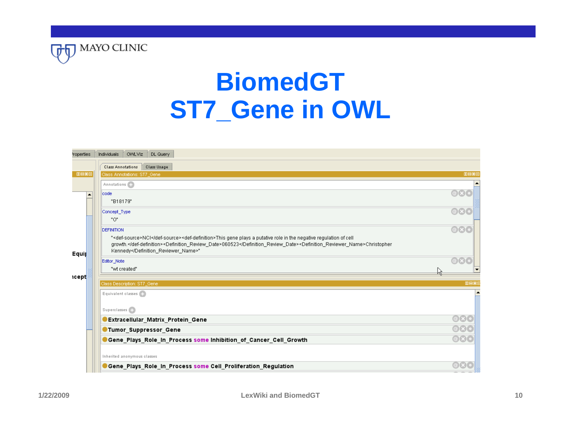

### **BiomedGT ST7\_Gene in OWL**

| <b>Class Annotations</b><br>Class Usage<br><b>DBO</b><br>Class Annotations: ST7_Gene<br>Annotations (C)<br>code<br>$\blacktriangle$<br>"B18179"<br>Concept_Type<br>"0"<br><b>DEFINITION</b> |                          |
|---------------------------------------------------------------------------------------------------------------------------------------------------------------------------------------------|--------------------------|
|                                                                                                                                                                                             |                          |
|                                                                                                                                                                                             | <b>DBOX</b>              |
|                                                                                                                                                                                             |                          |
|                                                                                                                                                                                             |                          |
|                                                                                                                                                                                             |                          |
|                                                                                                                                                                                             | $\mathbf{Q}(\mathbf{x})$ |
|                                                                                                                                                                                             |                          |
|                                                                                                                                                                                             | $\omega(x)$              |
| " <def-source>NCI</def-source> <def-definition>This gene plays a putative role in the negative regulation of cell</def-definition>                                                          |                          |
| growth. <definition_review_date>060523</definition_review_date> <definition_reviewer_name>Christopher<br/>Kennedy</definition_reviewer_name> "                                              |                          |
| Equip<br>Editor_Note                                                                                                                                                                        |                          |
| "wt created"                                                                                                                                                                                |                          |
| <b>icept</b>                                                                                                                                                                                |                          |
| Class Description: ST7_Gene                                                                                                                                                                 | <b>DBOX</b>              |
| Equivalent classes                                                                                                                                                                          |                          |
|                                                                                                                                                                                             |                          |
| Superclasses (2)                                                                                                                                                                            |                          |
| Extracellular_Matrix_Protein_Gene                                                                                                                                                           |                          |
| <b>Tumor_Suppressor_Gene</b>                                                                                                                                                                | $\omega$ $\times$ $\sim$ |
| Gene_Plays_Role_In_Process some Inhibition_of_Cancer_Cell_Growth                                                                                                                            | $\bigcirc\mathbf{X}$     |
|                                                                                                                                                                                             |                          |
| Inherited anonymous classes                                                                                                                                                                 |                          |
| Gene_Plays_Role_In_Process some Cell_Proliferation_Regulation                                                                                                                               |                          |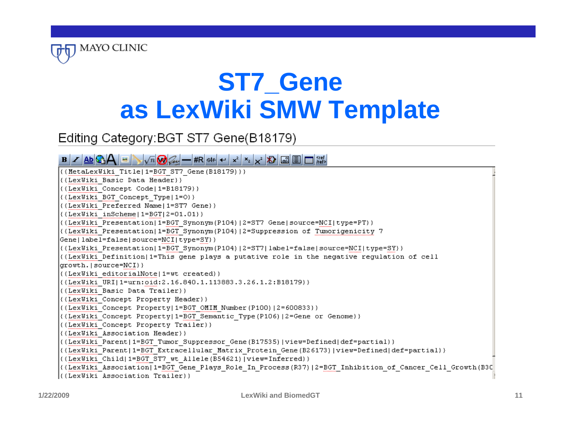

### **ST7\_Gene as LexWiki SMW Template**

#### Editing Category: BGT ST7 Gene(B18179)

#### $\mathbf{B} \hspace{0.05cm} \vert \hspace{0.05cm} \mathbf{Z} \hspace{0.05cm} \vert \hspace{0.05cm} \mathbf{B} \hspace{0.05cm} \vert \hspace{0.05cm} \mathbf{Z} \hspace{0.05cm} \vert \hspace{0.05cm} \mathbf{E} \hspace{0.05cm} \vert \hspace{0.05cm} \mathbf{W} \hspace{0.05cm} \vert \hspace{0.05cm} \mathbf{E} \hspace{0.05cm} \vert \hspace{0.05cm} \mathbf{W} \hspace{0.05cm} \vert \hspace{0.$

| $\left($ {MetaLexWiki Title 1=BGT ST7_Gene(B18179)}}                                                    |
|---------------------------------------------------------------------------------------------------------|
| ({LexWiki Basic Data Header}}                                                                           |
| ((LexWiki Concept Code 1=B18179))                                                                       |
| ((LexWiki BGT Concept Type   1=0))                                                                      |
| ({LexWiki Preferred Name 1=ST7 Gene}}                                                                   |
| $\left($ {LexWiki inScheme 1=BGT 2=01.01}}                                                              |
| ((LexWiki Presentation 1=BGT Synonym(P104) 2=ST7 Gene source=NCI type=PT}}                              |
| ((LexWiki Presentation 1=BGT Synonym(P104) 2=Suppression of Tumorigenicity 7)}                          |
| Gene label=false source=NCI type=SY}}                                                                   |
| ((LexWiki Presentation 1=BGT Synonym(P104) 2=ST7 label=false source=NCI type=SY}) }                     |
| ((LexWiki Definition 1=This gene plays a putative role in the negative regulation of cell)              |
| growth. source=NCI}}                                                                                    |
| ({LexWiki editorialNote 1=wt created}}                                                                  |
| ((LexWiki URI 1=urn:oid:2.16.840.1.113883.3.26.1.2:B18179))                                             |
| ({LexWiki Basic Data Trailer}}                                                                          |
| ({LexWiki Concept Property Header}}                                                                     |
| ((LexWiki Concept Property 1=BGT OMIM Number(P100) 2=600833)}}                                          |
| ((LexWiki Concept Property 1=BGT Semantic Type(P106) 2=Gene or Genome}}                                 |
| ((LexWiki Concept Property Trailer))                                                                    |
| ({LexWiki Association Header}}                                                                          |
| ((LexWiki Parent 1=BGT_Tumor_Suppressor_Gene(B17535) view=Defined def=partial)}                         |
| ((LexWiki Parent 1=BGT Extracellular Matrix Protein Gene(B26173) view=Defined def=partial}}             |
| ((LexWiki Child 1=BGT ST7 wt Allele(B54621) view=Inferred)}                                             |
| ((LexWiki Association 1=BGT Gene Plays Role In Process(R37) 2=BGT Inhibition of Cancer Cell Growth(B3C) |
| ((LexWiki Association Trailer))                                                                         |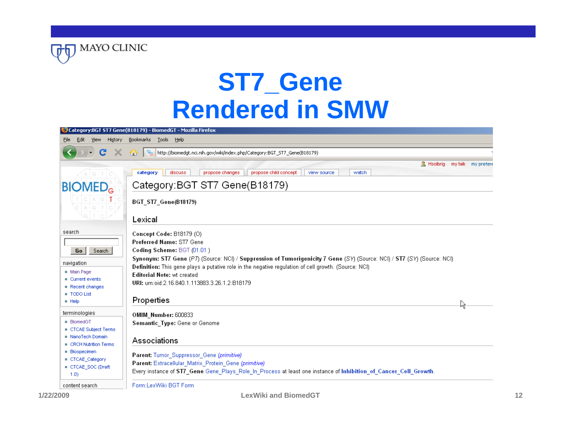

#### **ST7\_Gene Rendered in SMW**

|                                                                                                                               | Category:BGT ST7 Gene(B18179) - BiomedGT - Mozilla Firefox                                                                                                                                                                                                                                                                                                                                                                      |
|-------------------------------------------------------------------------------------------------------------------------------|---------------------------------------------------------------------------------------------------------------------------------------------------------------------------------------------------------------------------------------------------------------------------------------------------------------------------------------------------------------------------------------------------------------------------------|
| Edit<br><u>View</u><br>History<br>Eile                                                                                        | Bookmarks Tools Help                                                                                                                                                                                                                                                                                                                                                                                                            |
| C                                                                                                                             | $\frac{1}{2}$<br>http://biomedgt.nci.nih.gov/wiki/index.php/Category:BGT_ST7_Gene(B18179)<br>⋒                                                                                                                                                                                                                                                                                                                                  |
| $A$ $G$ $I$ $\circ$                                                                                                           | & Hsolbrig<br>my talk my prefere<br>propose child concept<br>propose changes<br>discuss<br>view source<br>watch<br>category                                                                                                                                                                                                                                                                                                     |
| <b>BIOMED</b> <sub>G</sub>                                                                                                    | Category: BGT ST7 Gene(B18179)                                                                                                                                                                                                                                                                                                                                                                                                  |
| CAGTO                                                                                                                         | BGT_ST7_Gene(B18179)<br>Lexical                                                                                                                                                                                                                                                                                                                                                                                                 |
| search<br>Search<br>Go<br>navigation<br>$\blacksquare$ Main Page<br>Current events<br>Recent changes<br>TODO List<br>$H$ Help | Concept Code: B18179 (O)<br>Preferred Name: ST7 Gene<br>Coding Scheme: BGT (01.01)<br>Synonym: ST7 Gene (P7) (Source: NCI) / Suppression of Tumorigenicity 7 Gene (SY) (Source: NCI) / ST7 (SY) (Source: NCI)<br>Definition: This gene plays a putative role in the negative regulation of cell growth. (Source: NCI)<br><b>Editorial Note: wt created</b><br>URI: urn:oid:2.16.840.1.113883.3.26.1.2:B18179<br>Properties<br>Ř |
| terminologies<br>■ BiomedGT<br>CTCAE Subject Terms<br>NanoTech Domain<br>CRCH Nutrition Terms<br><b>Biospecimen</b>           | OMIM Number: 600833<br>Semantic_Type: Gene or Genome<br>Associations                                                                                                                                                                                                                                                                                                                                                            |
| CTCAE Category<br>CTCAE_SOC (Draft<br>(1.0)                                                                                   | Parent: Tumor_Suppressor_Gene (primitive)<br>Parent: Extracellular_Matrix_Protein_Gene (primitive)<br>Every instance of ST7_Gene Gene_Plays_Role_In_Process at least one instance of Inhibition_of_Cancer_Cell_Growth.                                                                                                                                                                                                          |
| content search                                                                                                                | Form:LexWiki BGT Form                                                                                                                                                                                                                                                                                                                                                                                                           |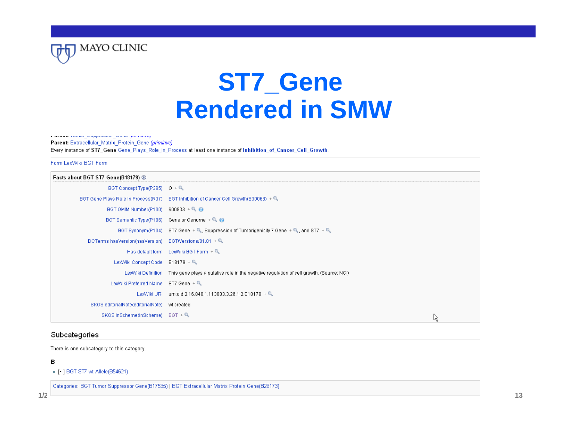

#### **ST7\_Gene Rendered in SMW**

Farence ramor dapprocess some paintings

Parent: Extracellular Matrix Protein Gene (primitive)

Every instance of ST7 Gene Gene Plays Role In Process at least one instance of Inhibition of Cancer Cell Growth.

#### Form:LexWiki BGT Form

| Facts about BGT ST7 Gene(B18179)  |                                                                                          |   |
|-----------------------------------|------------------------------------------------------------------------------------------|---|
| BGT Concept Type(P365) $0 + Q$    |                                                                                          |   |
|                                   | BGT Gene Plays Role In Process(R37) BGT Inhibition of Cancer Cell Growth(B30068) + Q     |   |
| BGT OMIM Number(P100)             | $600833 + 9$                                                                             |   |
| BGT Semantic Type(P106)           | Gene or Genome $+Q$                                                                      |   |
|                                   | BGT Synonym(P104) ST7 Gene + Q, Suppression of Tumorigenicity 7 Gene + Q, and ST7 + Q.   |   |
| DCTerms hasVersion(hasVersion)    | BGT/Versions/01.01 $+Q$                                                                  |   |
| Has default form                  | LexWiki BGT Form + Q                                                                     |   |
| LexWiki Concept Code              | $B18179 + Q$                                                                             |   |
| LexWiki Definition                | This gene plays a putative role in the negative regulation of cell growth. (Source: NCI) |   |
| LexWiki Preferred Name            | ST7 Gene $+$                                                                             |   |
| LexWiki URI                       | urn:oid:2.16.840.1.113883.3.26.1.2:B18179 + Q                                            |   |
| SKOS editorialNote(editorialNote) | wt created                                                                               |   |
| SKOS inScheme(inScheme)           | $BGT + Q$                                                                                | ん |

#### Subcategories

There is one subcategory to this category.

#### в

• [• ] BGT ST7 wt Allele(B54621)

Categories: BGT Tumor Suppressor Gene(B17535) | BGT Extracellular Matrix Protein Gene(B26173)

**LexWiki and BiomedGT**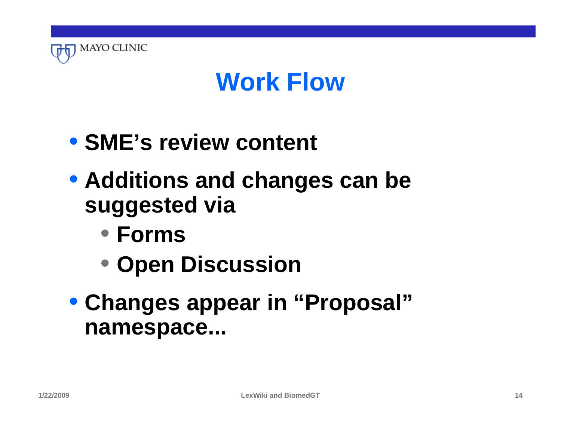

#### **Work Flow**

- **SME's review content**
- **Additions and changes can be suggested via**
	- **Forms**
	- **Open Discussion**
- **Changes appear in "Proposal" namespace...**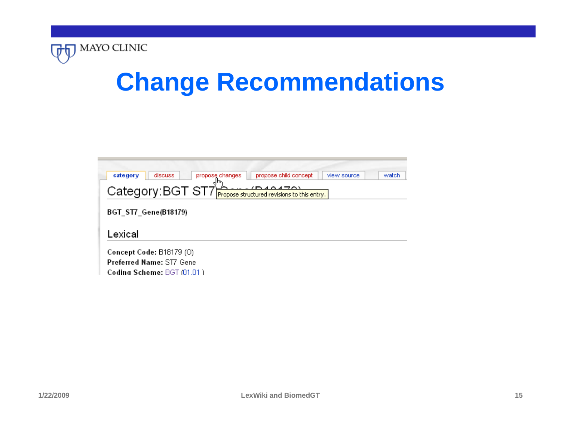

### **Change Recommendations**

| category<br>discuss<br>propose changes | propose child concept                       | view source | watch |
|----------------------------------------|---------------------------------------------|-------------|-------|
| Category: BGT ST7                      | Propose structured revisions to this entry. |             |       |
| <b>BGT_ST7_Gene(B18179)</b>            |                                             |             |       |
|                                        |                                             |             |       |
| Lexical                                |                                             |             |       |
| Concept Code: B18179 (O)               |                                             |             |       |
|                                        |                                             |             |       |
| <b>Preferred Name: ST7 Gene</b>        |                                             |             |       |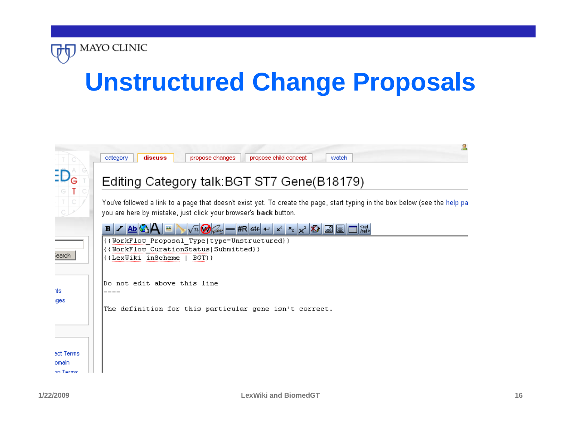

### **Unstructured Change Proposals**

|                                | propose child concept<br>propose changes<br>watch<br>category<br>discuss                                                                                                                        |
|--------------------------------|-------------------------------------------------------------------------------------------------------------------------------------------------------------------------------------------------|
|                                | Editing Category talk: BGT ST7 Gene(B18179)                                                                                                                                                     |
| $rac{1}{c}$                    | You've followed a link to a page that doesn't exist yet. To create the page, start typing in the box below (see the help pal<br>you are here by mistake, just click your browser's back button. |
|                                | $-$ #R $+$ $+$ $\mathbf{x}$ $\mathbf{x}$ $\mathbf{x}$ $\mathbf{x}$ $\mathbf{X}$ $\mathbf{R}$<br>$\Box$ /ref><br><b>Abi</b><br>$B$ $\angle$                                                      |
| iearch.                        | {{WorkFlow Proposal Type type=Unstructured}}<br>{{WorkFlow CurationStatus Submitted}}<br>{{LexWiki inScheme}<br>BGT}}                                                                           |
| nts                            | Do not edit above this line                                                                                                                                                                     |
| iges                           | The definition for this particular gene isn't correct.                                                                                                                                          |
|                                |                                                                                                                                                                                                 |
| ect Terms<br>omain<br>on Terme |                                                                                                                                                                                                 |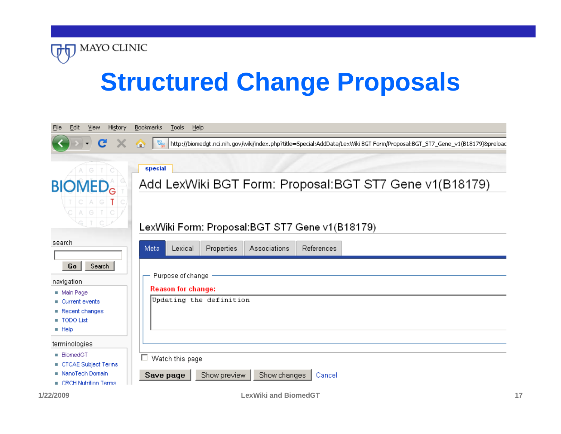

# **Structured Change Proposals**

| Edit<br>History<br>File<br>View                                                     | <b>Bookmarks</b><br>Tools<br>Help                                                                                                                                                                          |
|-------------------------------------------------------------------------------------|------------------------------------------------------------------------------------------------------------------------------------------------------------------------------------------------------------|
| C                                                                                   | $\begin{array}{c} \begin{array}{c} 00 \\ \text{Mpc} \end{array} \end{array}$<br>http://biomedgt.nci.nih.gov/wiki/index.php?title=Special:AddData/LexWiki BGT Form/Proposal:BGT_ST7_Gene_v1(B18179)&preloac |
| G                                                                                   | special                                                                                                                                                                                                    |
| <b>BIOMED<sub>G</sub></b>                                                           | Add LexWiki BGT Form: Proposal: BGT ST7 Gene v1(B18179)                                                                                                                                                    |
| $ C A G $ $\overline{I}$<br>C   A   G   T   C                                       | LexWiki Form: Proposal:BGT ST7 Gene v1(B18179)                                                                                                                                                             |
| search                                                                              | Properties<br>Associations<br>References<br>Meta<br>Lexical                                                                                                                                                |
| Search<br>Go<br>navigation                                                          | Purpose of change                                                                                                                                                                                          |
| Main Page                                                                           | <b>Reason for change:</b>                                                                                                                                                                                  |
| $\blacksquare$ Current events<br>Recent changes<br>TODO List<br>$\blacksquare$ Help | Updating the definition                                                                                                                                                                                    |
| terminologies                                                                       |                                                                                                                                                                                                            |
| <b>BiomedGT</b><br>CTCAE Subject Terms                                              | $\Box$ Watch this page                                                                                                                                                                                     |
| NanoTech Domain<br>$\blacksquare$ CRCH Nutrition Terms                              | Show changes<br>Show preview<br>Save page<br>Cancel                                                                                                                                                        |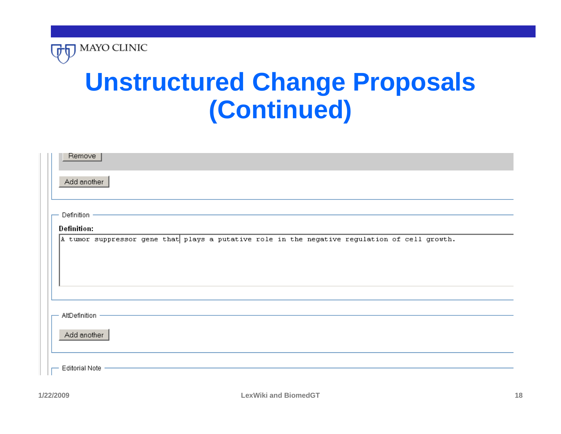

### **Unstructured Change Proposals (Continued)**

| Remove                                                                                        |
|-----------------------------------------------------------------------------------------------|
| Add another                                                                                   |
| - Definition -                                                                                |
| <b>Definition:</b>                                                                            |
| A tumor suppressor gene that plays a putative role in the negative regulation of cell growth. |
|                                                                                               |
|                                                                                               |
| AltDefinition -                                                                               |
| Add another                                                                                   |
| - Editorial Note                                                                              |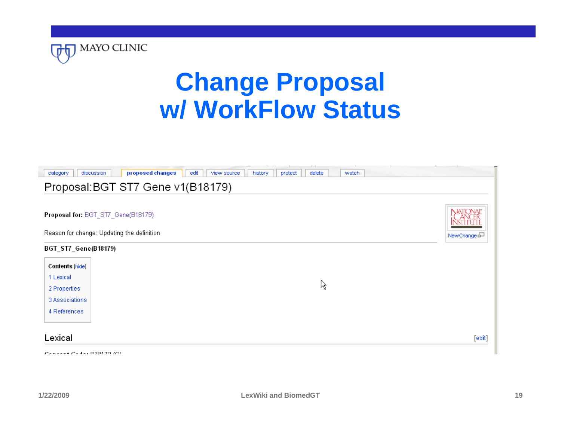

### **Change Proposal w/ WorkFlow Status**



**1/22/2009**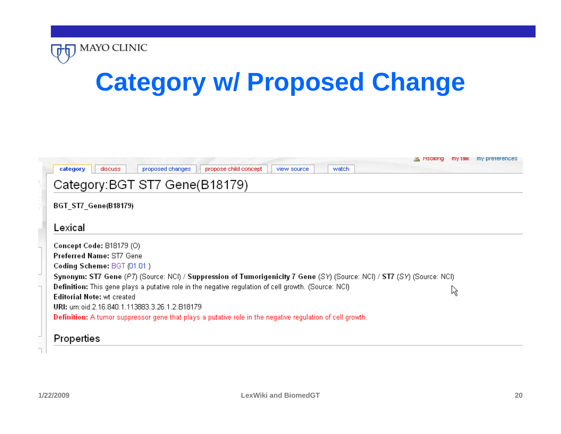

# **Category w/ Proposed Change**

|                                                                                                                         | <u>る</u> Hsolibrig mytalk mypreterences |  |
|-------------------------------------------------------------------------------------------------------------------------|-----------------------------------------|--|
| propose child concept<br>proposed changes<br>watch<br>category<br>discuss<br>view source                                |                                         |  |
| Category: BGT ST7 Gene(B18179)                                                                                          |                                         |  |
| <b>BGT ST7 Gene(B18179)</b>                                                                                             |                                         |  |
| Lexical                                                                                                                 |                                         |  |
| Concept Code: B18179 (O)                                                                                                |                                         |  |
| <b>Preferred Name: ST7 Gene</b>                                                                                         |                                         |  |
| Coding Scheme: BGT (01.01)                                                                                              |                                         |  |
| Synonym: ST7 Gene (P7) (Source: NCI) / Suppression of Tumorigenicity 7 Gene (SY) (Source: NCI) / ST7 (SY) (Source: NCI) |                                         |  |
| Definition: This gene plays a putative role in the negative regulation of cell growth. (Source: NCI)                    |                                         |  |
| <b>Editorial Note: wt created</b>                                                                                       | Μę                                      |  |
| URI: um:oid:2.16.840.1.113883.3.26.1.2:B18179                                                                           |                                         |  |
|                                                                                                                         |                                         |  |

#### Properties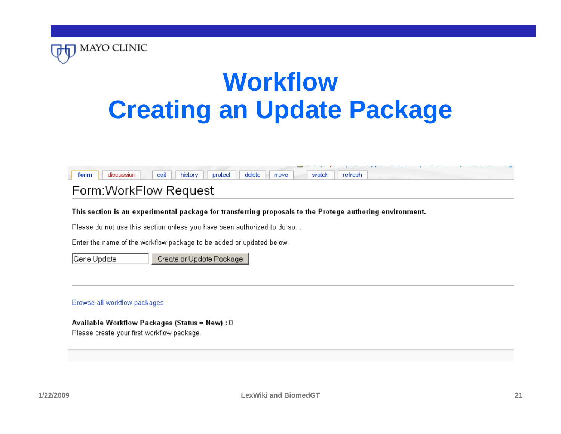



#### Form: WorkFlow Request

This section is an experimental package for transferring proposals to the Protege authoring environment.

Please do not use this section unless you have been authorized to do so...

Enter the name of the workflow package to be added or updated below.

Gene Update

Create or Update Package

#### Browse all workflow packages

MAYO CLINIC

#### Available Workflow Packages (Status = New) : 0

Please create your first workflow package.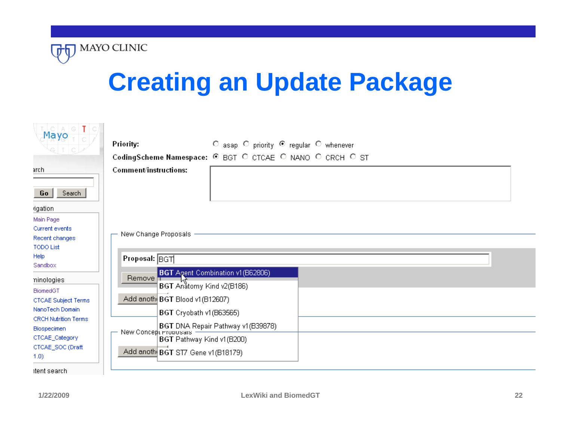

# **Creating an Update Package**

| $Mayo - T$                                           | Priority:<br>C asap C priority @ regular C whenever                               |
|------------------------------------------------------|-----------------------------------------------------------------------------------|
|                                                      | CodingScheme Namespace: @ BGT O CTCAE O NANO O CRCH O ST                          |
| arch<br>Search<br>Go                                 | Comment/instructions:                                                             |
| rigation<br>Main Page                                |                                                                                   |
| Current events<br>Recent changes<br><b>TODO List</b> | New Change Proposals                                                              |
| Help<br>Sandbox                                      | Proposal: BGT                                                                     |
| ninologies<br><b>BiomedGT</b>                        | <b>BGT</b> Agent Combination v1 (B62806)<br>Remove T<br>BGT Anatomy Kind v2(B186) |
| <b>CTCAE Subject Terms</b><br>NanoTech Domain        | Add anoth BGT Blood v1(B12607)<br>BGT Cryobath v1(B63565)                         |
| <b>CRCH Nutrition Terms</b><br><b>Biospecimen</b>    | BGT DNA Repair Pathway v1(B39878)<br>New Concept Proposals                        |
| CTCAE_Category<br>CTCAE_SOC (Draft<br>(1.0)          | BGT Pathway Kind v1(B200)<br>Add anoth BGT ST7 Gene v1(B18179)                    |
| itent search                                         |                                                                                   |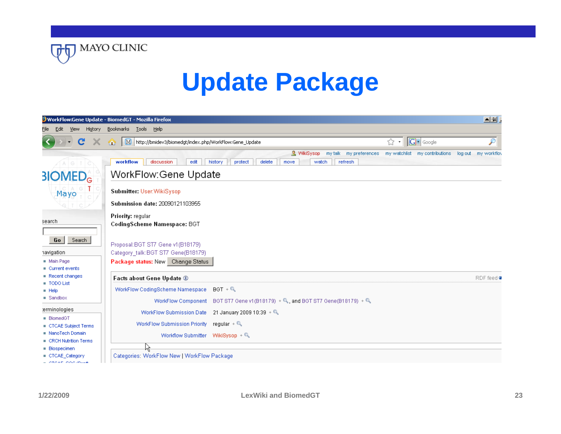

# **Update Package**

|                                                                          | WorkFlow:Gene Update - BiomedGT - Mozilla Firefox                                                                                   |                                           | $\Delta E$             |
|--------------------------------------------------------------------------|-------------------------------------------------------------------------------------------------------------------------------------|-------------------------------------------|------------------------|
| Edit<br><b>View</b><br>History<br>File                                   | Bookmarks Tools<br>Help                                                                                                             |                                           |                        |
| C                                                                        | $\mathbf{M}$<br>http://bmidev3/biomedgt/index.php/WorkFlow:Gene_Update<br>☎                                                         | $ G \cdot  $ Google<br>☆<br>$\pmb{\cdot}$ | $\mathcal{P}$          |
|                                                                          | & WikiSysop<br>my talk my preferences<br>delete<br>workflow<br>discussion<br>edit<br>history<br>protect<br>watch<br>refresh<br>move | my watchlist - my contributions           | log out<br>my workfloy |
| <b>BIOMED</b> <sub>G</sub>                                               | <b>WorkFlow Gene Update</b>                                                                                                         |                                           |                        |
| Mayo                                                                     | Submitter: User: WikiSysop                                                                                                          |                                           |                        |
|                                                                          | Submission date: 20090121103955                                                                                                     |                                           |                        |
| search                                                                   | Priority: regular<br>CodingScheme Namespace: BGT                                                                                    |                                           |                        |
| Search<br>Go<br>havigation<br>Main Page<br>$\blacksquare$ Current events | Proposal: BGT ST7 Gene v1(B18179)<br>Category talk: BGT ST7 Gene(B18179)<br>Package status: New Change Status                       |                                           |                        |
| Recent changes                                                           | Facts about Gene Update 1                                                                                                           |                                           | RDF feed <b>a</b>      |
| TODO List<br>$H$ Help<br>$\blacksquare$ Sandbox                          | WorkFlow CodingScheme Namespace<br>$BGT + Q$<br>WorkFlow Component BGT ST7 Gene v1 (B18179) + Q, and BGT ST7 Gene (B18179) + Q.     |                                           |                        |
| terminologies<br><b>BiomedGT</b>                                         | 21 January 2009 10:39 + $Q_0$<br>WorkFlow Submission Date                                                                           |                                           |                        |
| CTCAE Subject Terms                                                      | WorkFlow Submission Priority regular + $\mathbb{Q}$                                                                                 |                                           |                        |
| NanoTech Domain<br><b>E</b> CRCH Nutrition Terms                         | Workflow Submitter WikiSysop + Q                                                                                                    |                                           |                        |
| <b>Biospecimen</b><br>CTCAE_Category<br>OTO AT LOOD SPALLA               | kξ<br>Categories: WorkFlow New   WorkFlow Package                                                                                   |                                           |                        |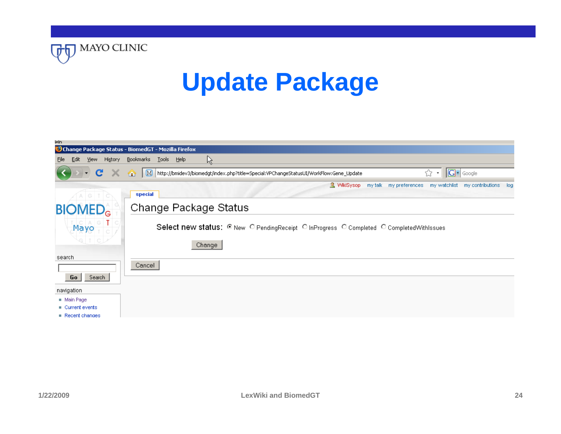

### **Update Package**

| leln                                   |                                                                                                                                                                |
|----------------------------------------|----------------------------------------------------------------------------------------------------------------------------------------------------------------|
|                                        | Change Package Status - BiomedGT - Mozilla Firefox                                                                                                             |
| <b>Edit</b><br>View<br>History<br>Eile | Ŗ<br>Bookmarks<br><b>Tools</b><br>Help                                                                                                                         |
| $\mathbf{C}$<br>$\times$<br>$\bullet$  | $ G $ Google<br>M http://bmidev3/biomedgt/index.php?title=Special:VPChangeStatusUI/WorkFlow:Gene_Update<br>どくしょう だいしょう だいしょう じょうかい だいしょう<br>☎<br>$\pmb{\cdot}$ |
|                                        | & WikiSysop<br>my talk my preferences<br>my watchlist<br>my contributions log                                                                                  |
|                                        | special                                                                                                                                                        |
| <b>BIOMED</b> <sub>c</sub>             | Change Package Status                                                                                                                                          |
| $Mayo -$                               | Select new status: © New O Pending Receipt O In Progress O Completed O Completed With Issues                                                                   |
|                                        | Change                                                                                                                                                         |
| search                                 |                                                                                                                                                                |
|                                        | Cancel                                                                                                                                                         |
| Search<br>Go                           |                                                                                                                                                                |
| navigation                             |                                                                                                                                                                |
| Main Page                              |                                                                                                                                                                |
| $\blacksquare$ Current events          |                                                                                                                                                                |
| $\blacksquare$ Recent changes          |                                                                                                                                                                |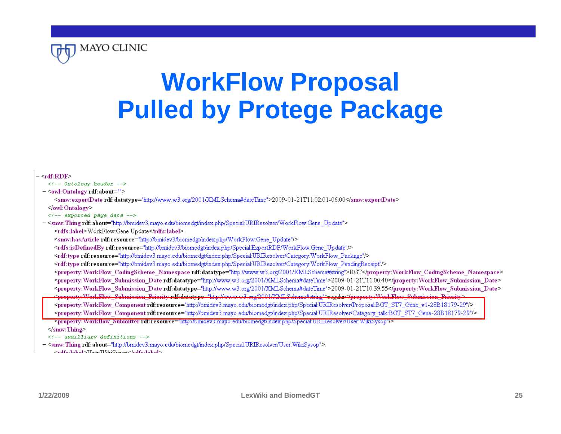

# **WorkFlow Proposal Pulled by Protege Package**

#### $-$  <rdf:RDF>  $\langle$ -- Ontology header --> - < owl: Ontology rdf: about=""> <smw:exportDate rdf:datatype="http://www.w3.org/2001/XMLSchema#dateTime">2009-01-21T11:02:01-06:00</smw:exportDate>  $\le$  /owl: Ontology>  $\langle$  /-- exported page data --> - <smw:Thing rdf: about="http://bmidev3.mayo.edu/biomedgt/index.php/Special:URIResolver/WorkFlow:Gene\_Update"> <rdfs:label>WorkFlow:Gene Update</rdfs:label> <smw:hasArticle rdf:resource="http://bmidev3/biomedgt/index.php/WorkFlow:Gene Update"/> <rdfs:isDefinedByrdf:resource="http://bmidev3/biomedgt/index.php/Special:ExportRDF/WorkFlow:Gene Update"/> <rdf:type rdf:resource="http://bmidev3.mayo.edu/biomedgt/index.php/Special:URIResolver/Category:WorkFlow\_Package"/> <rdf:type rdf:resource="http://bmidev3.mayo.edu/biomedgt/index.php/Special:URIResolver/Category:WorkFlow PendingReceipt"/> <property: WorkFlow CodingScheme Namespace rdf: datatype="http://www.w3.org/2001/XMLSchema#string">BGT</property: WorkFlow CodingScheme Namespace> <property: WorkFlow Submission Date rdf: datatype="http://www.w3.org/2001/XMLSchema#dateTime">2009-01-21T11:00:40</property: WorkFlow Submission Date> <property: WorkFlow Submission Date rdf: datatype="http://www.w3.org/2001/XMLSchema#dateTime">2009-01-21T10:39:55</property: WorkFlow Submission Date> Property: WorkFlew Submission Prierity rdf: datatype="http://www.w3.org/2001/XMLSchema#string">regular</property: WorkFlew Submission Prierity> <property: WorkFlow Component rdf:resource="http://bmidev3.mayo.edu/biomedgt/index.php/Special:URIResolver/Proposal:BGT ST7 Gene v1-28B18179-29"/> <property: WorkFlow Component rdf:resource="http://bmidev3.mayo.edu/biomedgt/index.php/Special:URIResolver/Category\_talk:BGT\_ST7\_Gene-28B18179-29"/> <property: Workflow Submitter rdf:resource="http://bmdev3.mayo.edu/biomedgt/index.php/Special:URIResolver/User:WikiSysop"/>

 $\le$ /smw: Thing  $\ge$ 

 $\langle$ -- auxilliary definitions -->

- <smw: Thing rdf: about="http://bmidev3.mayo.edu/biomedgt/index.php/Special:URIResolver/User:WikiSysop"> And Carl a had a late Lange With a Company of the Hall and a late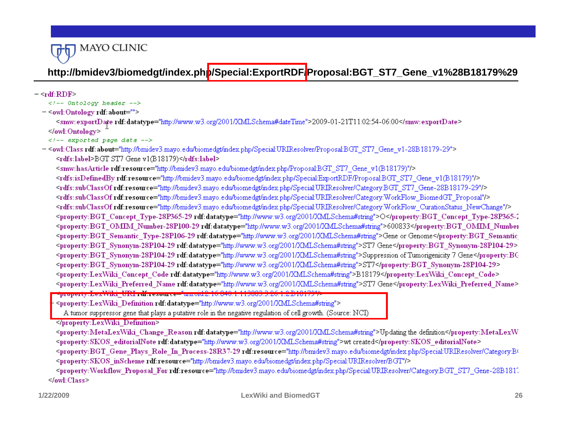

#### **http://bmidev3/biomedgt/index.php/Special:ExportRDF/Proposal:BGT\_ST7\_Gene\_v1%28B18179%29**

 $-$  <rdf:RDF>  $\langle$ -- Ontology header --> - < owl: Ontology rdf: about=""> <smw:exportDate rdf:datatype="http://www.w3.org/2001/XMLSchema#dateTime">2009-01-21T11:02:54-06:00</smw:exportDate> </owl:Ontology>  $\lt$ !-- exported page data --> - <owl: Class rdf: about="http://bmidev3.mayo.edu/biomedgt/index.php/Special:URIResolver/Proposal:BGT ST7 Gene v1-28B18179-29"> <rdfs:label>BGT ST7 Gene v1(B18179)</rdfs:label> <smw:hasArticle rdf:resource="http://bmidev3.mayo.edu/biomedgt/index.php/Proposal:BGT ST7 Gene v1(B18179)"/> <rdfs:isDefinedByrdf:resource="http://bmidev3.mayo.edu/biomedgt/index.php/Special:ExportRDF/Proposal:BGT ST7 Gene v1(B18179)"/> <rdfs:subClassOfrdf:resource="http://bmidev3.mayo.edu/biomedgt/index.php/Special:URIResolver/Category:BGT\_ST7\_Gene-28B18179-29"/> <rdfs:subClassOf rdf:resource="http://bmidev3.mayo.edu/biomedgt/index.php/Special:URIResolver/Category:WorkFlow\_BiomedGT\_Proposal"/> <rdfs:subClassOf rdf:resource="http://bmidev3.mayo.edu/biomedgt/index.php/Special:URIResolver/Category:WorkFlow CurationStatus NewChange"/> <property:BGT Concept Type-28P365-29 rdf:datatype="http://www.w3.org/2001/XMLSchema#string">O</property:BGT Concept Type-28P365-1 <property:BGT\_OMIM\_Number-28P100-29 rdf:datatype="http://www.w3.org/2001/XMLSchema#string">600833</property:BGT\_OMIM\_Number <property:BGT Semantic Type-28P106-29 rdf:datatype="http://www.w3.org/2001/XMLSchema#string">Gene or Genome</property:BGT Semantic <property:BGT Synonym-28P104-29 rdf:datatype="http://www.w3.org/2001/XMLSchema#string">ST7 Gene</property:BGT Synonym-28P104-29> Sproperty: BGT Synonym-28P104-29 rdf: datatype="http://www.w3.org/2001/XMLSchema#string">Suppression of Tumorigenicity 7 Gene</property: BC <property:BGT Synonym-28P104-29 rdf:datatype="http://www.w3.org/2001/XMLSchema#string">ST7</property:BGT Synonym-28P104-29> <property:LexWiki Concept Code rdf:datatype="http://www.w3.org/2001/XMLSchema#string">B18179</property:LexWiki Concept Code> <property:LexWiki Preferred Name rdf:datatype="http://www.w3.org/2001/XMLSchema#string">ST7 Gene</property:LexWiki Preferred Name> property.Lex.Wint\_URL\_16.resource="um.vd.2.16.040.1.112002.2.26.1.2.D1017 <property:LexWiki Definition rdf:datatype="http://www.w3.org/2001/XMLSchema#string"> A tumor suppressor gene that plays a putative role in the negative regulation of cell growth. (Source: NCI) </property:LexWiki Definition> <property:MetaLexWiki Change Reason rdf:datatype="http://www.w3.org/2001/XMLSchema#string">Updating the definition</property:MetaLexW <property:SKOS editorialNote rdf:datatype="http://www.w3.org/2001/XMLSchema#string">wt created</property:SKOS editorialNote> <property:BGT Gene Plays Role In Process-28R37-29 rdf:resource="http://bmidev3.mayo.edu/biomedgt/index.php/Special:URIResolver/Category:BO <property: SKOS inScheme rdf:resource="http://bmidev3.mayo.edu/biomedgt/index.php/Special:URIResolver/BGT"/> <property: Workflow Proposal For rdf:resource="http://bmidev3.mayo.edu/biomedgt/index.php/Special:URIResolver/Category:BGT ST7 Gene-28B1817.  $\leq$  owl: Class  $\geq$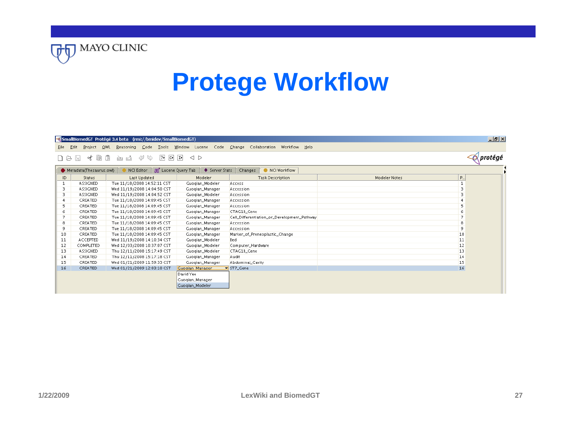

### **Protege Workflow**

|     | QWL<br>Eile Edit<br>Project | Reasoning Code Tools Window Lucene                 |                                 | Code Change Collaboration Workflow Help                                       |                           | $\Box$ el $\times$ |
|-----|-----------------------------|----------------------------------------------------|---------------------------------|-------------------------------------------------------------------------------|---------------------------|--------------------|
| けほ  | そ目<br>H                     | 通<br><2<br> 2r <br>⊵<br>ඡා ය<br>$\vert$ C> $\vert$ | $ \mathbf{D} $<br>$\lhd$ $\lhd$ |                                                                               |                           | ' protége          |
|     | Metadata(Thesaurus.owl)     |                                                    |                                 | NCI Editor   Bet Lucene Query Tab   ◆ Server Stats   Changes   ● NCI Workflow |                           |                    |
| ID. | Status                      | <b>Last Updated</b>                                | Modeler                         | <b>Task Description</b>                                                       | P<br><b>Modeler Notes</b> |                    |
| 1   | <b>ASSIGNED</b>             | Tue 11/18/2008 14:52:11 CST                        | Guogian_Modeler                 | Access                                                                        |                           |                    |
| 3.  | <b>ASSIGNED</b>             | Wed 11/19/2008 14:04:50 CST                        | Guogian_Manager                 | Accession                                                                     |                           |                    |
| 3.  | <b>ASSIGNED</b>             | Wed 11/19/2008 14:04:52 CST                        | Guogian_Modeler                 | Accession                                                                     | з                         |                    |
|     | CREATED                     | Tue 11/18/2008 14:09:45 CST                        | Guogian_Manager                 | Accession                                                                     |                           |                    |
| 5.  | CREATED                     | Tue 11/18/2008 14:09:45 CST                        | Guogian_Manager                 | Accession                                                                     | 5.                        |                    |
| 6   | CREATED                     | Tue 11/18/2008 14:09:45 CST                        | Guogian_Manager                 | CTAG1B_Gene                                                                   |                           |                    |
|     | CREATED                     | Tue 11/18/2008 14:09:45 CST                        | Guogian_Manager                 | Cell_Differentiation_or_Development_Pathway                                   |                           |                    |
| 8   | CREATED                     | Tue 11/18/2008 14:09:45 CST                        | Guogian_Manager                 | Accession                                                                     | 8                         |                    |
| 9   | CREATED                     | Tue 11/18/2008 14:09:45 CST                        | Guogian_Manager                 | Accession                                                                     | 9                         |                    |
| 10  | CREATED                     | Tue 11/18/2008 14:09:45 CST                        | Guogian_Manager                 | Marker_of_Preneoplastic_Change                                                | 10                        |                    |
| 11  | ACCEPTED                    | Wed 11/19/2008 14:10:34 CST                        | Guogian_Modeler                 | Bed                                                                           | 11                        |                    |
| 12  | COMPLETED                   | Wed 12/03/2008 10:37:07 CST                        | Guogian_Modeler                 | Computer_Hardware                                                             | 12                        |                    |
| 13  | <b>ASSIGNED</b>             | Thu 12/11/2008 15:17:49 CST                        | Guogian_Modeler                 | CTAG1B_Gene                                                                   | 13                        |                    |
| 14  | CREATED                     | Thu 12/11/2008 15:17:18 CST                        | Guogian_Manager                 | Audit                                                                         | 14                        |                    |
| 15  | CREATED                     | Wed 01/21/2009 11:59:33 CST                        | Guogian_Manager                 | Abdominal_Cavity                                                              | 15                        |                    |
| 16  | CREATED                     | Wed 01/21/2009 12:03:10 CST                        | Guogian Manager                 | ST7_Gene                                                                      | 16                        |                    |
|     |                             |                                                    | David Yee .                     |                                                                               |                           |                    |
|     |                             |                                                    | Guogian_Manager                 |                                                                               |                           |                    |
|     |                             |                                                    | Guogian_Modeler_                |                                                                               |                           |                    |
|     |                             |                                                    |                                 |                                                                               |                           |                    |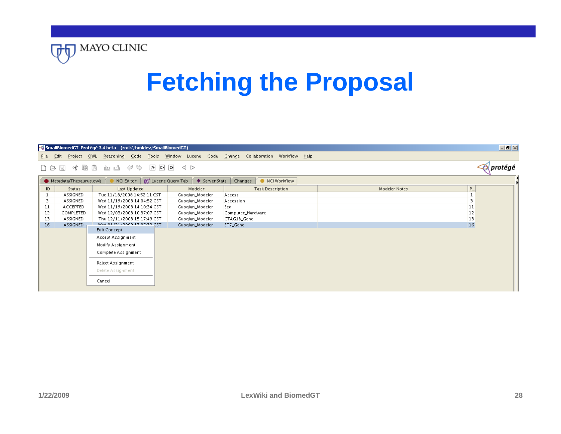

# **Fetching the Proposal**

|     |                            | <a (rmi:="" 3.4="" beta="" bmidev="" protégé="" smallbiomedgt="" smallbiomedgt)<="" th=""><th></th><th></th><th></th><th><math>\Box</math>el<math>\times</math></th></a> |                   |                                                                                                                                                                                                                                                                               |                           | $\Box$ el $\times$ |
|-----|----------------------------|--------------------------------------------------------------------------------------------------------------------------------------------------------------------------|-------------------|-------------------------------------------------------------------------------------------------------------------------------------------------------------------------------------------------------------------------------------------------------------------------------|---------------------------|--------------------|
|     | Project $QWL$<br>Eile Edit |                                                                                                                                                                          |                   | Reasoning Code Tools Window Lucene Code Change Collaboration Workflow Help                                                                                                                                                                                                    |                           |                    |
|     | イ目<br>n diki               | t<br>$\varphi \circ$<br>$\sqrt{2}$<br>ඡා ය                                                                                                                               | 이퍼<br>$\triangle$ |                                                                                                                                                                                                                                                                               |                           | protégé            |
|     | Metadata(Thesaurus.owl)    |                                                                                                                                                                          |                   | NCI Editor $\begin{bmatrix} 0 & \frac{1}{2} \\ 0 & \frac{1}{2} \end{bmatrix}$ Lucene Query Tab $\begin{bmatrix} 0 & \frac{1}{2} \\ \frac{1}{2} & \frac{1}{2} \end{bmatrix}$ Changes $\begin{bmatrix} 0 & \frac{1}{2} \\ \frac{1}{2} & \frac{1}{2} \end{bmatrix}$ NCI Workflow |                           |                    |
| ID. | Status                     | <b>Last Updated</b>                                                                                                                                                      | Modeler           | <b>Task Description</b>                                                                                                                                                                                                                                                       | P<br><b>Modeler Notes</b> |                    |
|     | <b>ASSIGNED</b>            | Tue 11/18/2008 14:52:11 CST                                                                                                                                              | Guogian_Modeler   | Access                                                                                                                                                                                                                                                                        |                           |                    |
| 3.  | <b>ASSIGNED</b>            | Wed 11/19/2008 14:04:52 CST                                                                                                                                              | Guogian_Modeler   | Accession                                                                                                                                                                                                                                                                     | 3                         |                    |
| 11  | ACCEPTED                   | Wed 11/19/2008 14:10:34 CST                                                                                                                                              | Guogian_Modeler   | Bed                                                                                                                                                                                                                                                                           | 11                        |                    |
| 12  | COMPLETED                  | Wed 12/03/2008 10:37:07 CST                                                                                                                                              | Guogian_Modeler   | Computer_Hardware                                                                                                                                                                                                                                                             | 12                        |                    |
| 13  | <b>ASSIGNED</b>            | Thu 12/11/2008 15:17:49 CST                                                                                                                                              | Guogian_Modeler   | CTAG1B_Gene                                                                                                                                                                                                                                                                   | $ 13\rangle$              |                    |
| 16  | <b>ASSIGNED</b>            | T2D CC-FO-CE 000CL ECLED HAWL                                                                                                                                            | Guogian_Modeler   | ST7_Gene                                                                                                                                                                                                                                                                      | 16                        |                    |
|     |                            | <b>Edit Concept</b>                                                                                                                                                      |                   |                                                                                                                                                                                                                                                                               |                           |                    |
|     |                            | Accept Assignment                                                                                                                                                        |                   |                                                                                                                                                                                                                                                                               |                           |                    |
|     |                            | Modify Assignment                                                                                                                                                        |                   |                                                                                                                                                                                                                                                                               |                           |                    |
|     |                            | Complete Assignment                                                                                                                                                      |                   |                                                                                                                                                                                                                                                                               |                           |                    |
|     |                            | <b>Reject Assignment</b>                                                                                                                                                 |                   |                                                                                                                                                                                                                                                                               |                           |                    |
|     |                            | Delete Assignment                                                                                                                                                        |                   |                                                                                                                                                                                                                                                                               |                           |                    |
|     |                            | Cancel                                                                                                                                                                   |                   |                                                                                                                                                                                                                                                                               |                           |                    |
|     |                            |                                                                                                                                                                          |                   |                                                                                                                                                                                                                                                                               |                           |                    |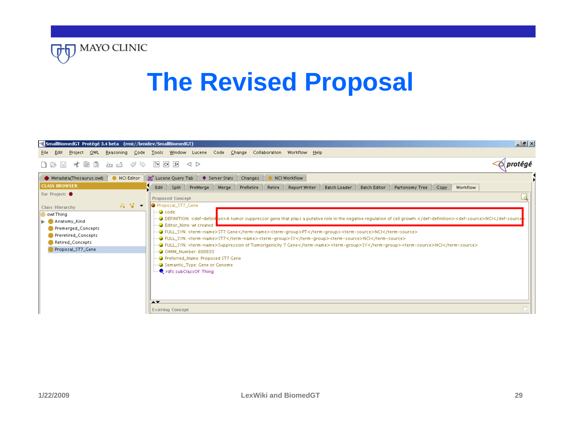

# **The Revised Proposal**

| <a> SmallBiomedGT Protégé 3.4 beta (rmi://bmidev/SmallBiomedGT)</a>                                      | $\Box$ el $\times$                                                                                                                                                                                                                                                                                                                                                                                                                                                                                                                                                                                                                                                                       |
|----------------------------------------------------------------------------------------------------------|------------------------------------------------------------------------------------------------------------------------------------------------------------------------------------------------------------------------------------------------------------------------------------------------------------------------------------------------------------------------------------------------------------------------------------------------------------------------------------------------------------------------------------------------------------------------------------------------------------------------------------------------------------------------------------------|
| Eile Edit                                                                                                | Project OWL Reasoning Code Tools Window Lucene Code Change Collaboration Workflow Help                                                                                                                                                                                                                                                                                                                                                                                                                                                                                                                                                                                                   |
| イ目<br>t<br>⇔<br>S<br>圖<br>Ŀ<br>n a<br>ட்ட                                                                | protégé<br>20 이 머<br>$\lhd$ $\lhd$                                                                                                                                                                                                                                                                                                                                                                                                                                                                                                                                                                                                                                                       |
| NCI Editor<br>Metadata(Thesaurus.owl)                                                                    | But Lucene Query Tab $\blacklozenge$ Server Stats Changes<br>NCI Workflow                                                                                                                                                                                                                                                                                                                                                                                                                                                                                                                                                                                                                |
| <b>CLASS BROWSER</b>                                                                                     | $\sqrt{P}$ PreMerge<br>PreRetire<br>Retire<br><b>Report Writer</b><br>Edit<br>Split<br>Merge  <br><b>Batch Loader</b><br><b>Batch Editor</b><br>Partonomy Tree<br>Workflow<br>Copy                                                                                                                                                                                                                                                                                                                                                                                                                                                                                                       |
| For Project:                                                                                             | Ld<br><b>Proposed Concept</b>                                                                                                                                                                                                                                                                                                                                                                                                                                                                                                                                                                                                                                                            |
| $A - I$<br>Class Hierarchy                                                                               | Proposal_ST7_Gene                                                                                                                                                                                                                                                                                                                                                                                                                                                                                                                                                                                                                                                                        |
| owl:Thing                                                                                                | i—● code:                                                                                                                                                                                                                                                                                                                                                                                                                                                                                                                                                                                                                                                                                |
| Anatomy_Kind<br>ъ.<br>Premerged_Concepts<br>Preretired_Concepts<br>Retired_Concepts<br>Proposal_ST7_Gene | —● DEFINITION: <def-definiti<mark>on&gt;A tumor suppressor gene that plays a putative role in the negative regulation of cell growth.<def-source>NCl<br/><b>Bullet</b> Editor_Note: wt created<br/>—● FULL_SYN: <term-name>ST7</term-name><term-group>SY</term-group><term-source>NCI</term-source><br/>—● FULL_SYN: <term-name>Suppression of Tumorigenicity 7 Gene</term-name><term-group>SY</term-group><term-source>NCl</term-source><br/>- ● OMIM_Number: 600833<br/>- Preferred_Name: Proposed ST7 Gene<br/>Gemantic_Type: Gene or Genome<br/><b>Q</b> rdfs:subClassOf: Thing<br/><math>\overline{\phantom{a}}</math><br/><b>Existing Concept</b></def-source></def-definiti<mark> |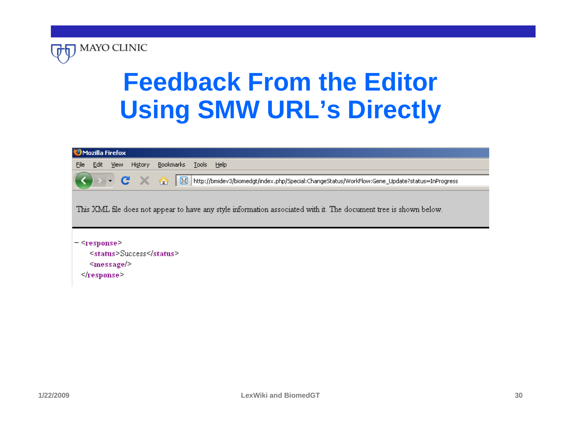

# **Feedback From the Editor Using SMW URL's Directly**

| Mozilla Firefox                                                                                                   |  |  |
|-------------------------------------------------------------------------------------------------------------------|--|--|
| Bookmarks Tools Help<br>Eile<br><u>E</u> dit <u>V</u> iew<br>Hi <u>s</u> tory                                     |  |  |
| N http://bmidev3/biomedgt/index.php/Special:ChangeStatus/WorkFlow:Gene_Update?status=InProgress                   |  |  |
| This XML file does not appear to have any style information associated with it. The document tree is shown below. |  |  |
| $ \leq$ response $\geq$<br>$\le$ status > Success $\le$ /status ><br>$message$<br>$\le$ /response $\ge$           |  |  |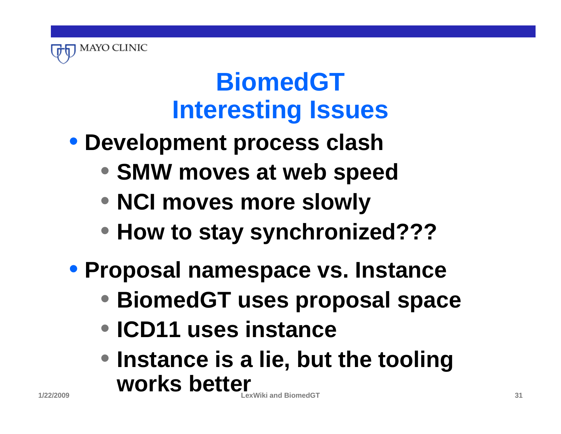

### **BiomedGT Interesting Issues**

- **Development process clash**
	- **SMW moves at web speed**
	- **NCI moves more slowly**
	- **How to stay synchronized???**
- **Proposal namespace vs. Instance**
	- **BiomedGT uses proposal space**
	- **ICD11 uses instance**
	- **LexWiki and BiomedGT 31** • **Instance is a lie, but the tooling works better**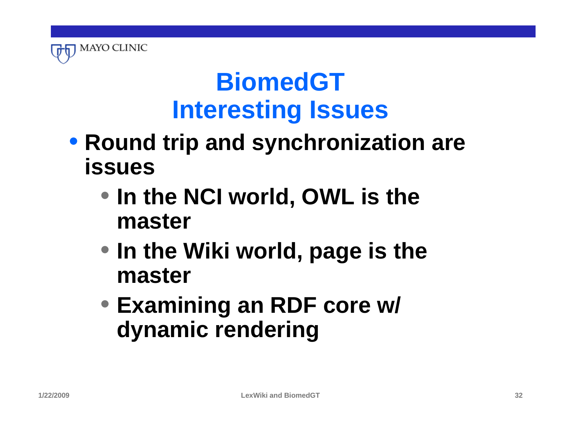

### **BiomedGT Interesting Issues**

- **Round trip and synchronization are issues**
	- **In the NCI world, OWL is the master**
	- **In the Wiki world, page is the master**
	- **Examining an RDF core w/ dynamic rendering**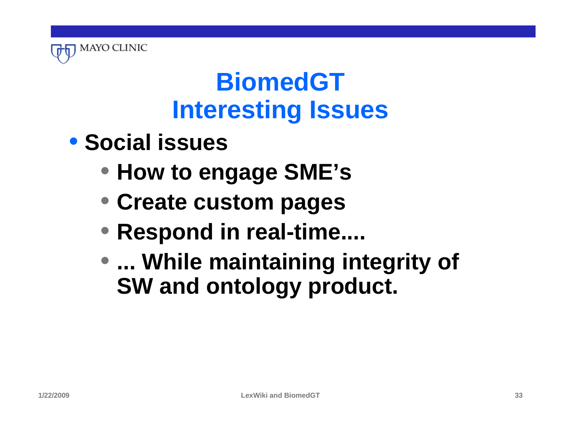

# **BiomedGT Interesting Issues**

- **Social issues**
	- **How to engage SME's**
	- **Create custom pages**
	- **Respond in real-time....**
	- **... While maintaining integrity of SW and ontology product.**